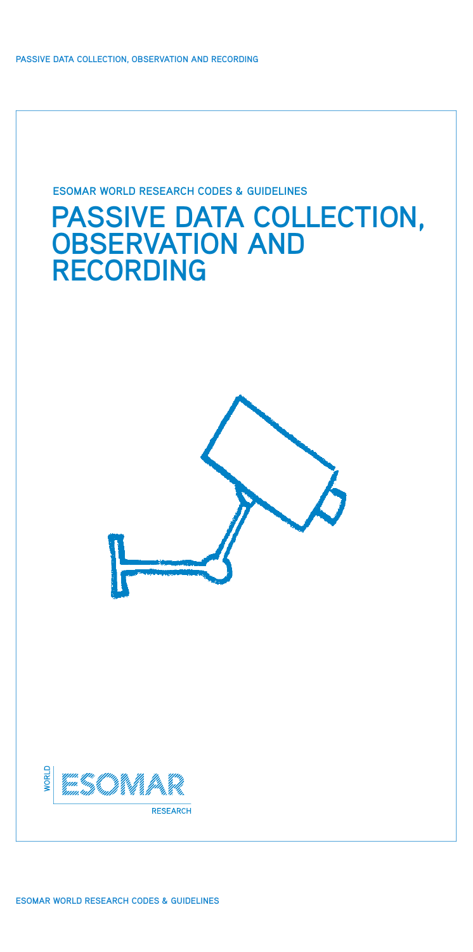**Passive Data Collection, Observation and Recording**

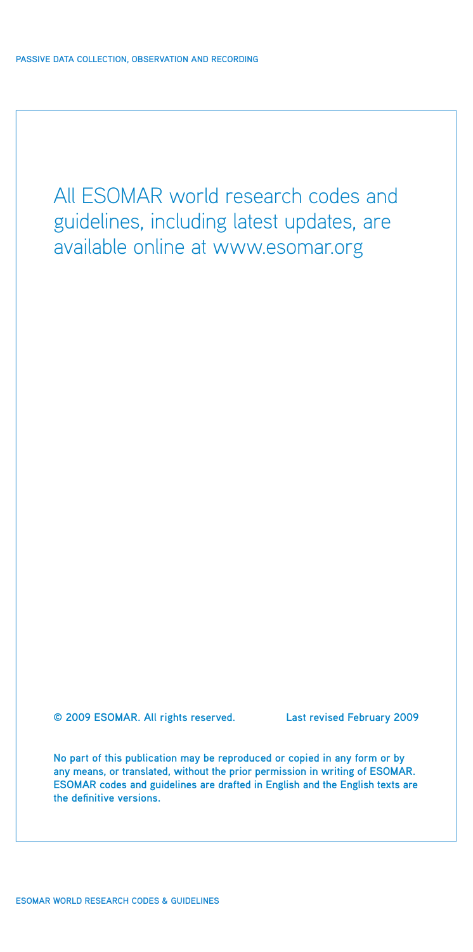All ESOMAR world research codes and guidelines, including latest updates, are available online at www.esomar.org

**© 2009 ESOMAR. All rights reserved. Last revised February 2009** 

**No part of this publication may be reproduced or copied in any form or by any means, or translated, without the prior permission in writing of ESOMAR. ESOMAR codes and guidelines are drafted in English and the English texts are the definitive versions.**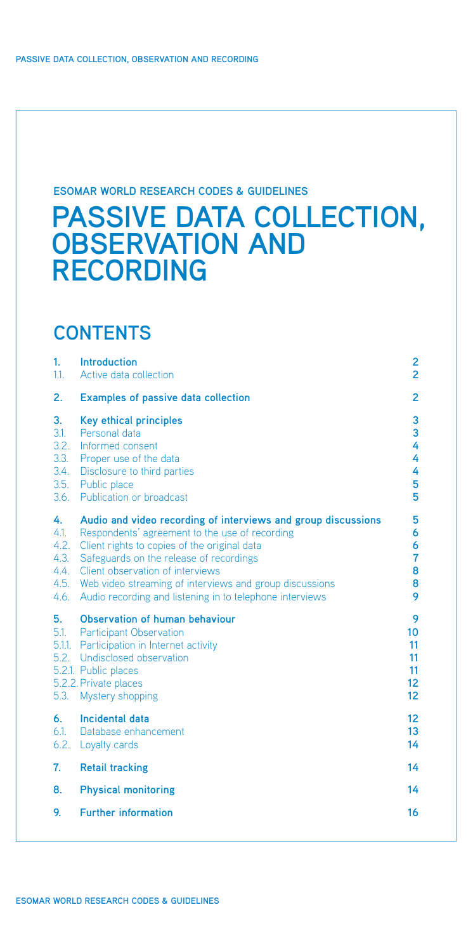## **ESOMAR WORLD RESEARCH CODES & GUIDELINES**

# **Passive Data Collection, Observation and Recording**

## **CONTENTS**

| 1.<br>1.1.                                         | <b>Introduction</b><br>Active data collection                                                                                                                                                                                                                                                                                                                         | 2<br>$\overline{2}$                                             |
|----------------------------------------------------|-----------------------------------------------------------------------------------------------------------------------------------------------------------------------------------------------------------------------------------------------------------------------------------------------------------------------------------------------------------------------|-----------------------------------------------------------------|
| 2.                                                 | <b>Examples of passive data collection</b>                                                                                                                                                                                                                                                                                                                            | 2                                                               |
| 3.<br>3.1.<br>3.2.<br>3.3.<br>3.4.<br>3.5.<br>3.6. | <b>Key ethical principles</b><br>Personal data<br>Informed consent<br>Proper use of the data<br>Disclosure to third parties<br>Public place<br>Publication or broadcast                                                                                                                                                                                               | 3<br>3<br>4<br>4<br>4<br>5<br>5                                 |
| 4.<br>4.1.<br>4.2.<br>4.3.<br>4.4.<br>4.5.<br>4.6. | Audio and video recording of interviews and group discussions<br>Respondents' agreement to the use of recording<br>Client rights to copies of the original data<br>Safeguards on the release of recordings<br>Client observation of interviews<br>Web video streaming of interviews and group discussions<br>Audio recording and listening in to telephone interviews | 5<br>6<br>6<br>7<br>8<br>8<br>9                                 |
| 5.<br>$5.1$ .<br>$5.1.1$ .<br>5.2.<br>5.3.         | Observation of human behaviour<br><b>Participant Observation</b><br>Participation in Internet activity<br>Undisclosed observation<br>5.2.1. Public places<br>5.2.2. Private places<br>Mystery shopping                                                                                                                                                                | 9<br>10<br>11<br>11<br>11<br>12 <sup>2</sup><br>12 <sub>2</sub> |
| 6.<br>6.1.<br>6.2.                                 | <b>Incidental data</b><br>Database enhancement<br>Loyalty cards                                                                                                                                                                                                                                                                                                       | 12<br>13<br>14                                                  |
| 7.                                                 | <b>Retail tracking</b>                                                                                                                                                                                                                                                                                                                                                | 14                                                              |
| 8.                                                 | <b>Physical monitoring</b>                                                                                                                                                                                                                                                                                                                                            | 14                                                              |
| 9.                                                 | <b>Further information</b>                                                                                                                                                                                                                                                                                                                                            | 16                                                              |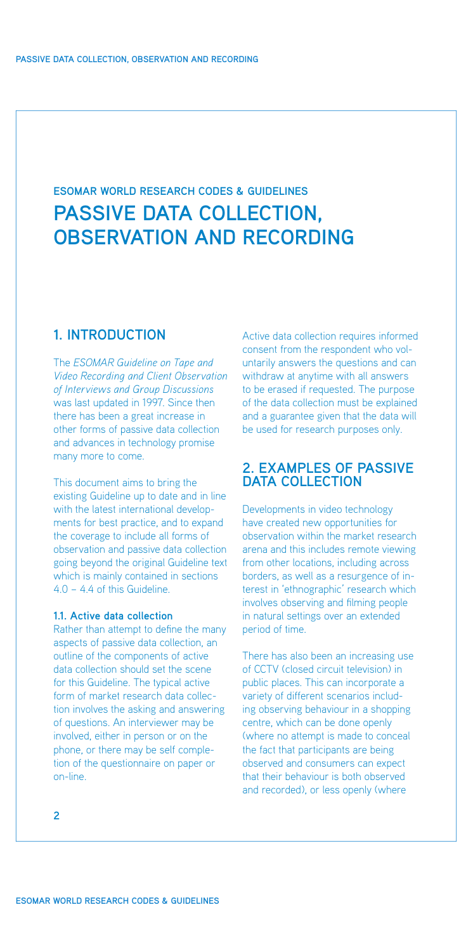## <span id="page-3-0"></span>**PASSIVE DATA COLLECTION, OBSERVATION AND RECORDING ESOMAR WORLD RESEARCH CODES & GUIDELINES**

## **1. Introduction**

The *ESOMAR Guideline on Tape and Video Recording and Client Observation of Interviews and Group Discussions* was last updated in 1997. Since then there has been a great increase in other forms of passive data collection and advances in technology promise many more to come.

This document aims to bring the existing Guideline up to date and in line with the latest international developments for best practice, and to expand the coverage to include all forms of observation and passive data collection going beyond the original Guideline text which is mainly contained in sections 4.0 – 4.4 of this Guideline.

## **1.1. Active data collection**

Rather than attempt to define the many aspects of passive data collection, an outline of the components of active data collection should set the scene for this Guideline. The typical active form of market research data collection involves the asking and answering of questions. An interviewer may be involved, either in person or on the phone, or there may be self completion of the questionnaire on paper or on-line.

Active data collection requires informed consent from the respondent who voluntarily answers the questions and can withdraw at anytime with all answers to be erased if requested. The purpose of the data collection must be explained and a guarantee given that the data will be used for research purposes only.

## **2. Examples of Passive Data Collection**

Developments in video technology have created new opportunities for observation within the market research arena and this includes remote viewing from other locations, including across borders, as well as a resurgence of interest in 'ethnographic' research which involves observing and filming people in natural settings over an extended period of time.

There has also been an increasing use of CCTV (closed circuit television) in public places. This can incorporate a variety of different scenarios including observing behaviour in a shopping centre, which can be done openly (where no attempt is made to conceal the fact that participants are being observed and consumers can expect that their behaviour is both observed and recorded), or less openly (where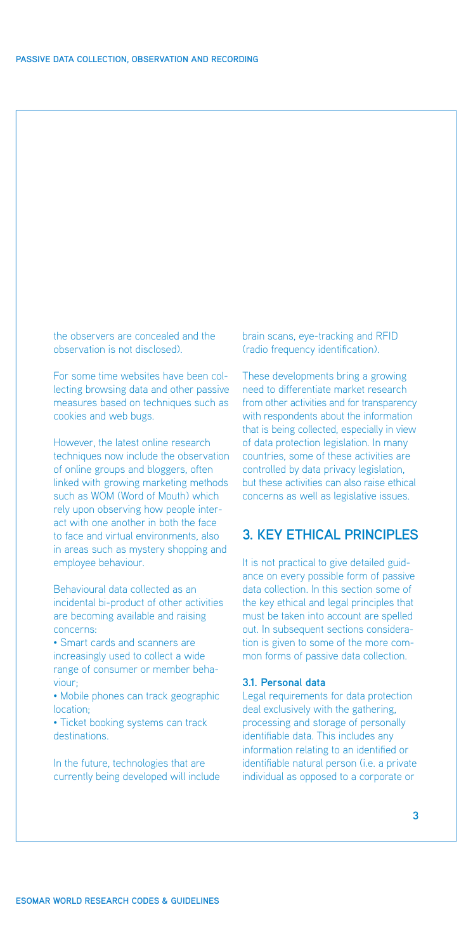<span id="page-4-0"></span>the observers are concealed and the observation is not disclosed).

For some time websites have been collecting browsing data and other passive measures based on techniques such as cookies and web bugs.

However, the latest online research techniques now include the observation of online groups and bloggers, often linked with growing marketing methods such as WOM (Word of Mouth) which rely upon observing how people interact with one another in both the face to face and virtual environments, also in areas such as mystery shopping and employee behaviour.

Behavioural data collected as an incidental bi-product of other activities are becoming available and raising concerns:

• Smart cards and scanners are increasingly used to collect a wide range of consumer or member behaviour;

• Mobile phones can track geographic location;

• Ticket booking systems can track destinations.

In the future, technologies that are currently being developed will include brain scans, eye-tracking and RFID (radio frequency identification).

These developments bring a growing need to differentiate market research from other activities and for transparency with respondents about the information that is being collected, especially in view of data protection legislation. In many countries, some of these activities are controlled by data privacy legislation, but these activities can also raise ethical concerns as well as legislative issues.

## **3. Key ethical principles**

It is not practical to give detailed guidance on every possible form of passive data collection. In this section some of the key ethical and legal principles that must be taken into account are spelled out. In subsequent sections consideration is given to some of the more common forms of passive data collection.

#### **3.1. Personal data**

Legal requirements for data protection deal exclusively with the gathering, processing and storage of personally identifiable data. This includes any information relating to an identified or identifiable natural person (i.e. a private individual as opposed to a corporate or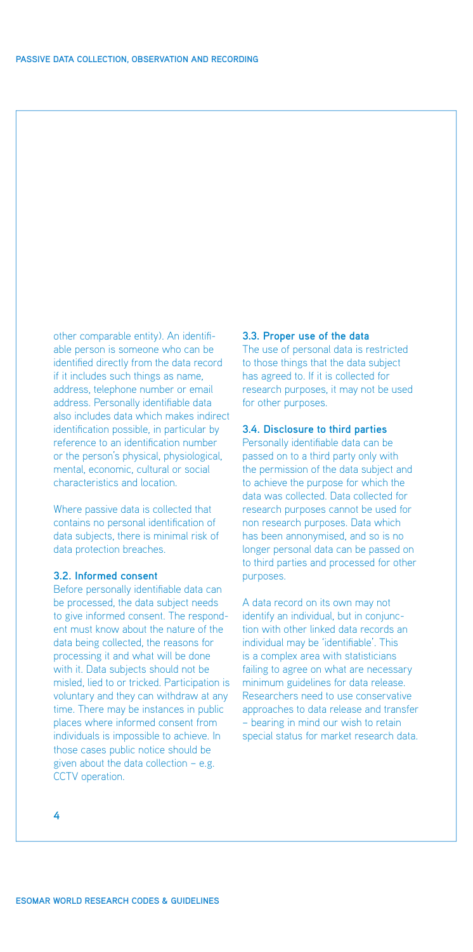<span id="page-5-0"></span>other comparable entity). An identifiable person is someone who can be identified directly from the data record if it includes such things as name, address, telephone number or email address. Personally identifiable data also includes data which makes indirect identification possible, in particular by reference to an identification number or the person's physical, physiological, mental, economic, cultural or social characteristics and location.

Where passive data is collected that contains no personal identification of data subjects, there is minimal risk of data protection breaches.

#### **3.2. Informed consent**

Before personally identifiable data can be processed, the data subject needs to give informed consent. The respondent must know about the nature of the data being collected, the reasons for processing it and what will be done with it. Data subjects should not be misled, lied to or tricked. Participation is voluntary and they can withdraw at any time. There may be instances in public places where informed consent from individuals is impossible to achieve. In those cases public notice should be given about the data collection – e.g. CCTV operation.

## **3.3. Proper use of the data**

The use of personal data is restricted to those things that the data subject has agreed to. If it is collected for research purposes, it may not be used for other purposes.

## **3.4. Disclosure to third parties**

Personally identifiable data can be passed on to a third party only with the permission of the data subject and to achieve the purpose for which the data was collected. Data collected for research purposes cannot be used for non research purposes. Data which has been annonymised, and so is no longer personal data can be passed on to third parties and processed for other purposes.

A data record on its own may not identify an individual, but in conjunction with other linked data records an individual may be 'identifiable'. This is a complex area with statisticians failing to agree on what are necessary minimum guidelines for data release. Researchers need to use conservative approaches to data release and transfer – bearing in mind our wish to retain special status for market research data.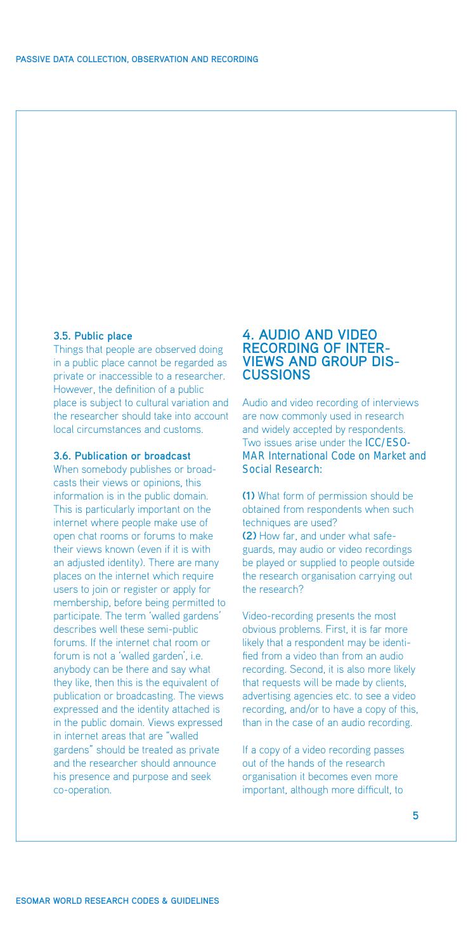## <span id="page-6-0"></span>**3.5. Public place**

Things that people are observed doing in a public place cannot be regarded as private or inaccessible to a researcher. However, the definition of a public place is subject to cultural variation and the researcher should take into account local circumstances and customs.

## **3.6. Publication or broadcast**

When somebody publishes or broadcasts their views or opinions, this information is in the public domain. This is particularly important on the internet where people make use of open chat rooms or forums to make their views known (even if it is with an adjusted identity). There are many places on the internet which require users to join or register or apply for membership, before being permitted to participate. The term 'walled gardens' describes well these semi-public forums. If the internet chat room or forum is not a 'walled garden', i.e. anybody can be there and say what they like, then this is the equivalent of publication or broadcasting. The views expressed and the identity attached is in the public domain. Views expressed in internet areas that are "walled gardens" should be treated as private and the researcher should announce his presence and purpose and seek co-operation.

## **4. Audio and video recording of interviews and group discussions**

Audio and video recording of interviews are now commonly used in research and widely accepted by respondents. Two issues arise under the **ICC/ESO-[MAR International Code on Market and](http://www.esomar.org/uploads/pdf/professional-standards/ICCESOMAR_Code_English_.pdf) Social Research:**

**(1)** What form of permission should be obtained from respondents when such techniques are used? **(2)** How far, and under what safeguards, may audio or video recordings be played or supplied to people outside the research organisation carrying out the research?

Video-recording presents the most obvious problems. First, it is far more likely that a respondent may be identified from a video than from an audio recording. Second, it is also more likely that requests will be made by clients, advertising agencies etc. to see a video recording, and/or to have a copy of this, than in the case of an audio recording.

If a copy of a video recording passes out of the hands of the research organisation it becomes even more important, although more difficult, to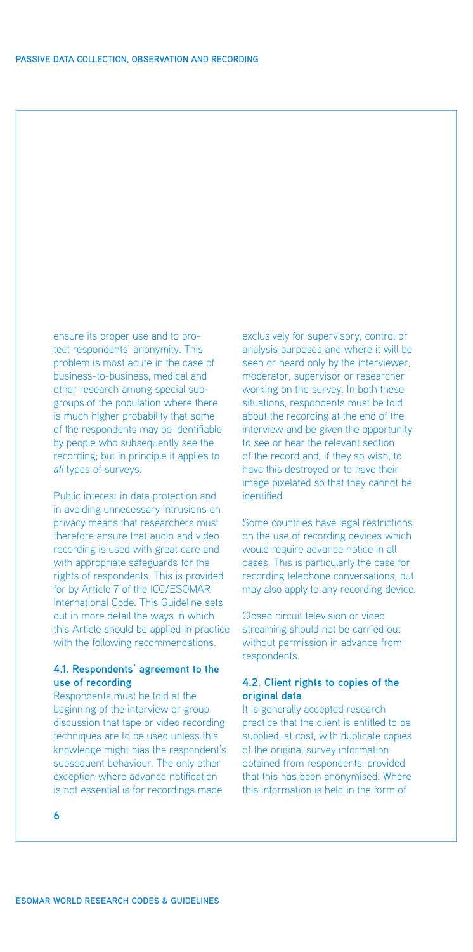<span id="page-7-0"></span>ensure its proper use and to protect respondents' anonymity. This problem is most acute in the case of business-to-business, medical and other research among special subgroups of the population where there is much higher probability that some of the respondents may be identifiable by people who subsequently see the recording; but in principle it applies to *all* types of surveys.

Public interest in data protection and in avoiding unnecessary intrusions on privacy means that researchers must therefore ensure that audio and video recording is used with great care and with appropriate safeguards for the rights of respondents. This is provided for by Article 7 of the ICC/ESOMAR International Code. This Guideline sets out in more detail the ways in which this Article should be applied in practice with the following recommendations.

## **4.1. Respondents' agreement to the use of recording**

Respondents must be told at the beginning of the interview or group discussion that tape or video recording techniques are to be used unless this knowledge might bias the respondent's subsequent behaviour. The only other exception where advance notification is not essential is for recordings made

exclusively for supervisory, control or analysis purposes and where it will be seen or heard only by the interviewer, moderator, supervisor or researcher working on the survey. In both these situations, respondents must be told about the recording at the end of the interview and be given the opportunity to see or hear the relevant section of the record and, if they so wish, to have this destroyed or to have their image pixelated so that they cannot be identified.

Some countries have legal restrictions on the use of recording devices which would require advance notice in all cases. This is particularly the case for recording telephone conversations, but may also apply to any recording device.

Closed circuit television or video streaming should not be carried out without permission in advance from respondents.

## **4.2. Client rights to copies of the original data**

It is generally accepted research practice that the client is entitled to be supplied, at cost, with duplicate copies of the original survey information obtained from respondents, provided that this has been anonymised. Where this information is held in the form of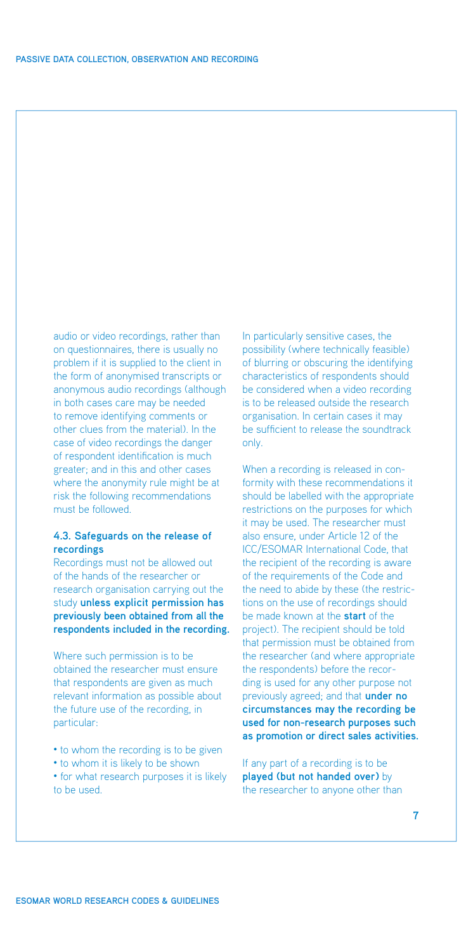<span id="page-8-0"></span>audio or video recordings, rather than on questionnaires, there is usually no problem if it is supplied to the client in the form of anonymised transcripts or anonymous audio recordings (although in both cases care may be needed to remove identifying comments or other clues from the material). In the case of video recordings the danger of respondent identification is much greater; and in this and other cases where the anonymity rule might be at risk the following recommendations must be followed.

## **4.3. Safeguards on the release of recordings**

Recordings must not be allowed out of the hands of the researcher or research organisation carrying out the study **unless explicit permission has previously been obtained from all the respondents included in the recording.**

Where such permission is to be obtained the researcher must ensure that respondents are given as much relevant information as possible about the future use of the recording, in particular:

- to whom the recording is to be given
- to whom it is likely to be shown
- for what research purposes it is likely to be used.

In particularly sensitive cases, the possibility (where technically feasible) of blurring or obscuring the identifying characteristics of respondents should be considered when a video recording is to be released outside the research organisation. In certain cases it may be sufficient to release the soundtrack only.

When a recording is released in conformity with these recommendations it should be labelled with the appropriate restrictions on the purposes for which it may be used. The researcher must also ensure, under Article 12 of the ICC/ESOMAR International Code, that the recipient of the recording is aware of the requirements of the Code and the need to abide by these (the restrictions on the use of recordings should be made known at the **start** of the project). The recipient should be told that permission must be obtained from the researcher (and where appropriate the respondents) before the recording is used for any other purpose not previously agreed; and that **under no circumstances may the recording be used for non-research purposes such as promotion or direct sales activities.**

If any part of a recording is to be **played (but not handed over)** by the researcher to anyone other than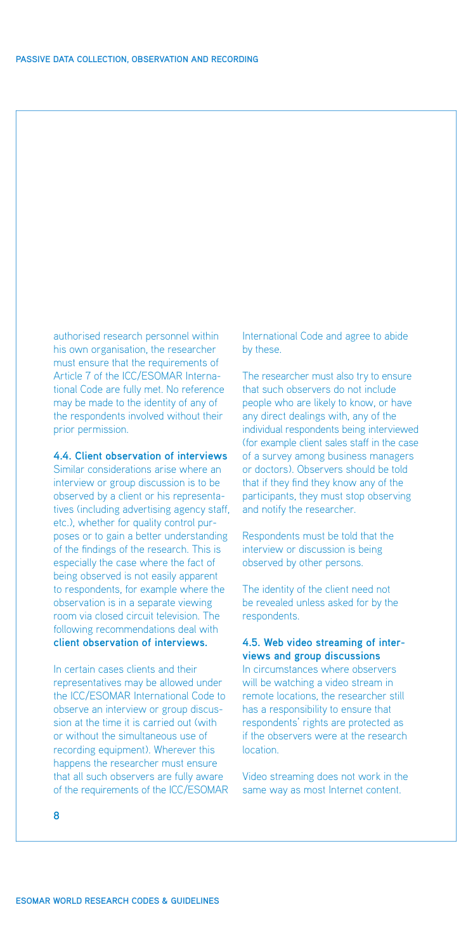<span id="page-9-0"></span>authorised research personnel within his own organisation, the researcher must ensure that the requirements of Article 7 of the ICC/ESOMAR International Code are fully met. No reference may be made to the identity of any of the respondents involved without their prior permission.

### **4.4. Client observation of interviews**

Similar considerations arise where an interview or group discussion is to be observed by a client or his representatives (including advertising agency staff, etc.), whether for quality control purposes or to gain a better understanding of the findings of the research. This is especially the case where the fact of being observed is not easily apparent to respondents, for example where the observation is in a separate viewing room via closed circuit television. The following recommendations deal with **client observation of interviews.**

In certain cases clients and their representatives may be allowed under the ICC/ESOMAR International Code to observe an interview or group discussion at the time it is carried out (with or without the simultaneous use of recording equipment). Wherever this happens the researcher must ensure that all such observers are fully aware of the requirements of the ICC/ESOMAR International Code and agree to abide by these.

The researcher must also try to ensure that such observers do not include people who are likely to know, or have any direct dealings with, any of the individual respondents being interviewed (for example client sales staff in the case of a survey among business managers or doctors). Observers should be told that if they find they know any of the participants, they must stop observing and notify the researcher.

Respondents must be told that the interview or discussion is being observed by other persons.

The identity of the client need not be revealed unless asked for by the respondents.

## **4.5. Web video streaming of interviews and group discussions**

In circumstances where observers will be watching a video stream in remote locations, the researcher still has a responsibility to ensure that respondents' rights are protected as if the observers were at the research location.

Video streaming does not work in the same way as most Internet content.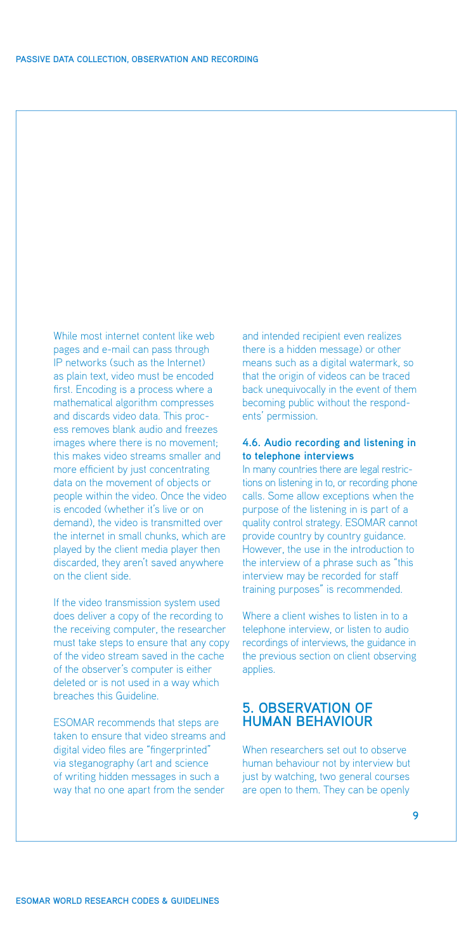<span id="page-10-0"></span>While most internet content like web pages and e-mail can pass through IP networks (such as the Internet) as plain text, video must be encoded first. Encoding is a process where a mathematical algorithm compresses and discards video data. This process removes blank audio and freezes images where there is no movement; this makes video streams smaller and more efficient by just concentrating data on the movement of objects or people within the video. Once the video is encoded (whether it's live or on demand), the video is transmitted over the internet in small chunks, which are played by the client media player then discarded, they aren't saved anywhere on the client side.

If the video transmission system used does deliver a copy of the recording to the receiving computer, the researcher must take steps to ensure that any copy of the video stream saved in the cache of the observer's computer is either deleted or is not used in a way which breaches this Guideline.

ESOMAR recommends that steps are taken to ensure that video streams and digital video files are "fingerprinted" via steganography (art and science of writing hidden messages in such a way that no one apart from the sender

and intended recipient even realizes there is a hidden message) or other means such as a digital watermark, so that the origin of videos can be traced back unequivocally in the event of them becoming public without the respondents' permission.

### **4.6. Audio recording and listening in to telephone interviews**

In many countries there are legal restrictions on listening in to, or recording phone calls. Some allow exceptions when the purpose of the listening in is part of a quality control strategy. ESOMAR cannot provide country by country guidance. However, the use in the introduction to the interview of a phrase such as "this interview may be recorded for staff training purposes" is recommended.

Where a client wishes to listen in to a telephone interview, or listen to audio recordings of interviews, the guidance in the previous section on client observing applies.

## **5. Observation of human behaviour**

When researchers set out to observe human behaviour not by interview but just by watching, two general courses are open to them. They can be openly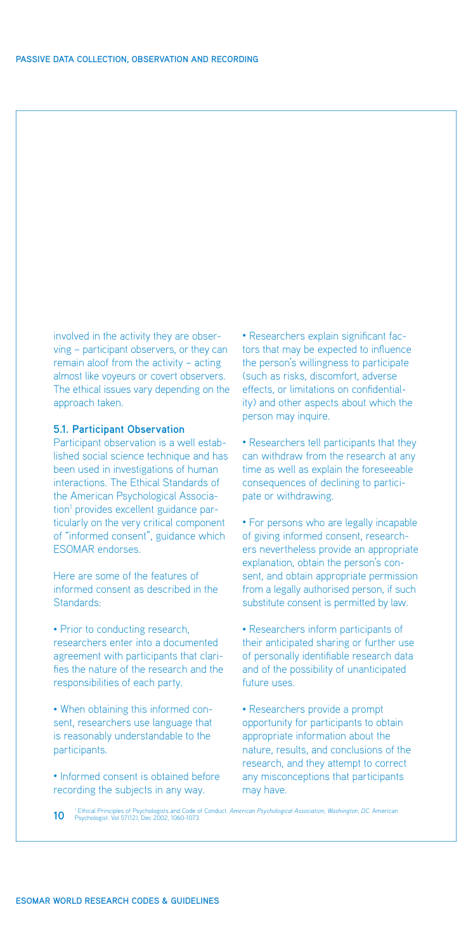<span id="page-11-0"></span>involved in the activity they are observing – participant observers, or they can remain aloof from the activity – acting almost like voyeurs or covert observers. The ethical issues vary depending on the approach taken.

#### **5.1. Participant Observation**

Participant observation is a well established social science technique and has been used in investigations of human interactions. The Ethical Standards of the American Psychological Association<sup>1</sup> provides excellent guidance particularly on the very critical component of "informed consent", guidance which ESOMAR endorses.

Here are some of the features of informed consent as described in the Standards:

• Prior to conducting research, researchers enter into a documented agreement with participants that clarifies the nature of the research and the responsibilities of each party.

• When obtaining this informed consent, researchers use language that is reasonably understandable to the participants.

• Informed consent is obtained before recording the subjects in any way.

• Researchers explain significant factors that may be expected to influence the person's willingness to participate (such as risks, discomfort, adverse effects, or limitations on confidentiality) and other aspects about which the person may inquire.

• Researchers tell participants that they can withdraw from the research at any time as well as explain the foreseeable consequences of declining to participate or withdrawing.

• For persons who are legally incapable of giving informed consent, researchers nevertheless provide an appropriate explanation, obtain the person's consent, and obtain appropriate permission from a legally authorised person, if such substitute consent is permitted by law.

• Researchers inform participants of their anticipated sharing or further use of personally identifiable research data and of the possibility of unanticipated future uses.

• Researchers provide a prompt opportunity for participants to obtain appropriate information about the nature, results, and conclusions of the research, and they attempt to correct any misconceptions that participants may have.

<sup>1</sup> Ethical Principles of Psychologists and Code of Conduct. *American Psychological Association, Washington, DC.* American Psychologist. Vol 57(12), Dec 2002, 1060-1073.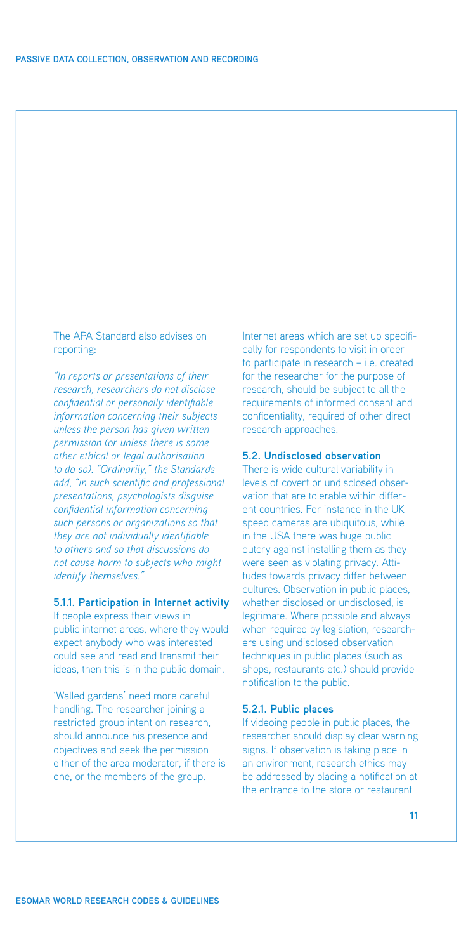<span id="page-12-0"></span>The APA Standard also advises on reporting:

*"In reports or presentations of their research, researchers do not disclose confidential or personally identifiable information concerning their subjects unless the person has given written permission (or unless there is some other ethical or legal authorisation to do so). "Ordinarily," the Standards add, "in such scientific and professional presentations, psychologists disguise confidential information concerning such persons or organizations so that they are not individually identifiable to others and so that discussions do not cause harm to subjects who might identify themselves."*

## **5.1.1. Participation in Internet activity**

If people express their views in public internet areas, where they would expect anybody who was interested could see and read and transmit their ideas, then this is in the public domain.

'Walled gardens' need more careful handling. The researcher joining a restricted group intent on research, should announce his presence and objectives and seek the permission either of the area moderator, if there is one, or the members of the group.

Internet areas which are set up specifically for respondents to visit in order to participate in research – i.e. created for the researcher for the purpose of research, should be subject to all the requirements of informed consent and confidentiality, required of other direct research approaches.

### **5.2. Undisclosed observation**

There is wide cultural variability in levels of covert or undisclosed observation that are tolerable within different countries. For instance in the UK speed cameras are ubiquitous, while in the USA there was huge public outcry against installing them as they were seen as violating privacy. Attitudes towards privacy differ between cultures. Observation in public places, whether disclosed or undisclosed, is legitimate. Where possible and always when required by legislation, researchers using undisclosed observation techniques in public places (such as shops, restaurants etc.) should provide notification to the public.

#### **5.2.1. Public places**

If videoing people in public places, the researcher should display clear warning signs. If observation is taking place in an environment, research ethics may be addressed by placing a notification at the entrance to the store or restaurant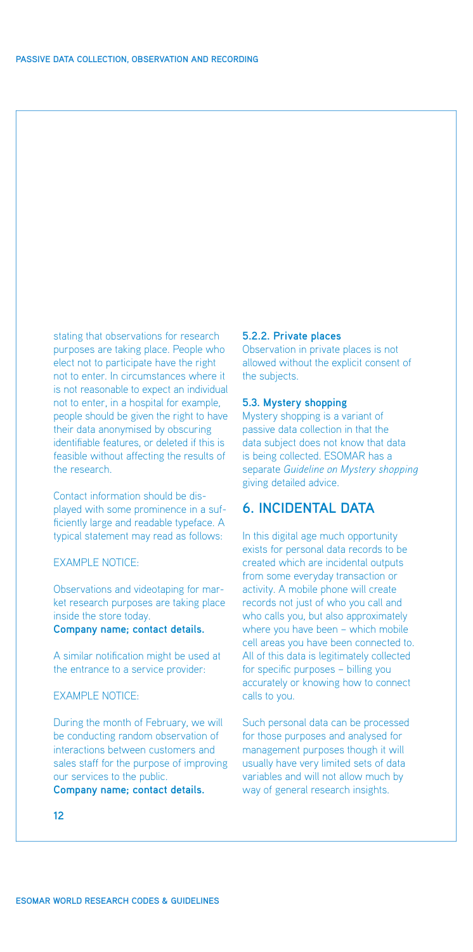<span id="page-13-0"></span>stating that observations for research purposes are taking place. People who elect not to participate have the right not to enter. In circumstances where it is not reasonable to expect an individual not to enter, in a hospital for example, people should be given the right to have their data anonymised by obscuring identifiable features, or deleted if this is feasible without affecting the results of the research.

Contact information should be displayed with some prominence in a sufficiently large and readable typeface. A typical statement may read as follows:

## EXAMPLE NOTICE:

Observations and videotaping for market research purposes are taking place inside the store today.

## **Company name; contact details.**

A similar notification might be used at the entrance to a service provider:

## EXAMPLE NOTICE:

During the month of February, we will be conducting random observation of interactions between customers and sales staff for the purpose of improving our services to the public.

**Company name; contact details.**

## **5.2.2. Private places**

Observation in private places is not allowed without the explicit consent of the subjects.

## **5.3. Mystery shopping**

Mystery shopping is a variant of passive data collection in that the data subject does not know that data is being collected. ESOMAR has a separate *[Guideline on Mystery shopping](http://www.esomar.org/uploads/pdf/ESOMAR_Codes&Guidelines_MysteryShopping.pdf)* giving detailed advice.

## **6. Incidental data**

In this digital age much opportunity exists for personal data records to be created which are incidental outputs from some everyday transaction or activity. A mobile phone will create records not just of who you call and who calls you, but also approximately where you have been – which mobile cell areas you have been connected to. All of this data is legitimately collected for specific purposes – billing you accurately or knowing how to connect calls to you.

Such personal data can be processed for those purposes and analysed for management purposes though it will usually have very limited sets of data variables and will not allow much by way of general research insights.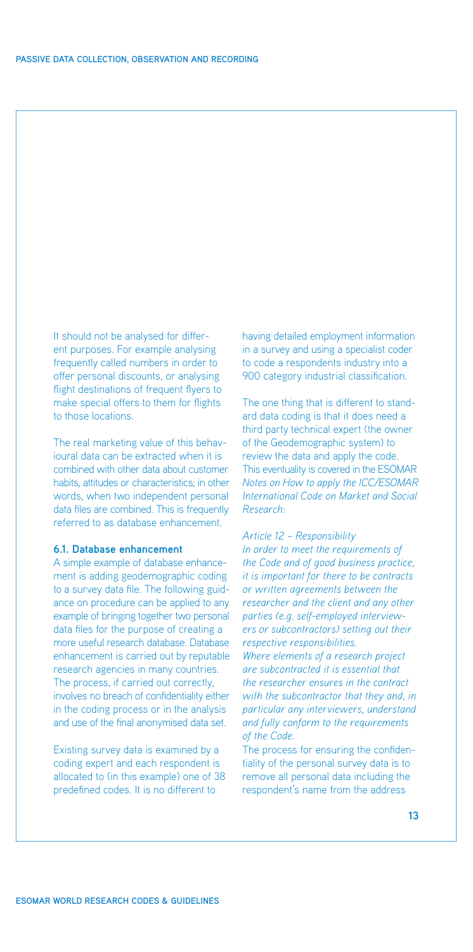<span id="page-14-0"></span>It should not be analysed for different purposes. For example analysing frequently called numbers in order to offer personal discounts, or analysing flight destinations of frequent flyers to make special offers to them for flights to those locations.

The real marketing value of this behavioural data can be extracted when it is combined with other data about customer habits, attitudes or characteristics; in other words, when two independent personal data files are combined. This is frequently referred to as database enhancement.

### **6.1. Database enhancement**

A simple example of database enhancement is adding geodemographic coding to a survey data file. The following guidance on procedure can be applied to any example of bringing together two personal data files for the purpose of creating a more useful research database. Database enhancement is carried out by reputable research agencies in many countries. The process, if carried out correctly, involves no breach of confidentiality either in the coding process or in the analysis and use of the final anonymised data set.

Existing survey data is examined by a coding expert and each respondent is allocated to (in this example) one of 38 predefined codes. It is no different to

having detailed employment information in a survey and using a specialist coder to code a respondents industry into a 900 category industrial classification.

The one thing that is different to standard data coding is that it does need a third party technical expert (the owner of the Geodemographic system) to review the data and apply the code. This eventuality is covered in the ESOMAR *[Notes on How to apply the ICC/ESOMAR](http://www.esomar.org/uploads/pdf/ESOMAR_Codes&Guidelines_NotesHowToApplyCode.pdf)  International Code on Market and Social Research:*

#### *Article 12 – Responsibility*

*In order to meet the requirements of the Code and of good business practice, it is important for there to be contracts or written agreements between the researcher and the client and any other parties (e.g. self-employed interviewers or subcontractors) setting out their respective responsibilities.* 

*Where elements of a research project are subcontracted it is essential that the researcher ensures in the contract with the subcontractor that they and, in particular any interviewers, understand and fully conform to the requirements of the Code.*

The process for ensuring the confidentiality of the personal survey data is to remove all personal data including the respondent's name from the address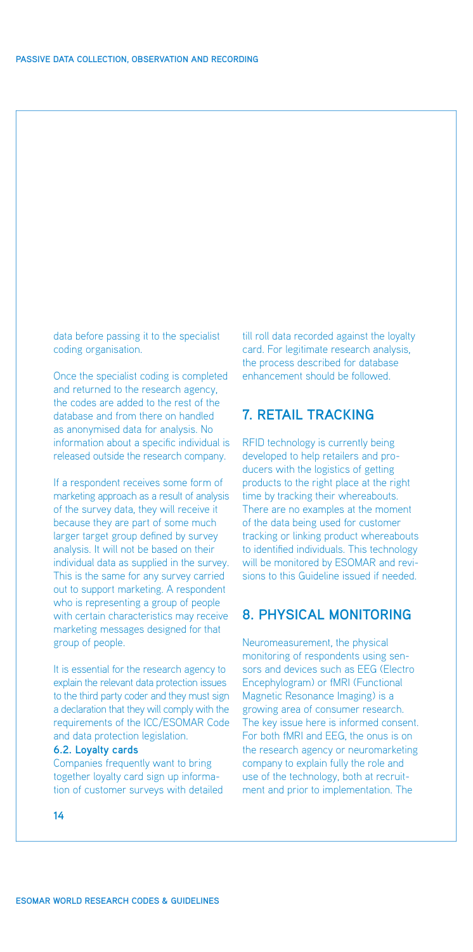<span id="page-15-0"></span>data before passing it to the specialist coding organisation.

Once the specialist coding is completed and returned to the research agency, the codes are added to the rest of the database and from there on handled as anonymised data for analysis. No information about a specific individual is released outside the research company.

If a respondent receives some form of marketing approach as a result of analysis of the survey data, they will receive it because they are part of some much larger target group defined by survey analysis. It will not be based on their individual data as supplied in the survey. This is the same for any survey carried out to support marketing. A respondent who is representing a group of people with certain characteristics may receive marketing messages designed for that group of people.

It is essential for the research agency to explain the relevant data protection issues to the third party coder and they must sign a declaration that they will comply with the requirements of the ICC/ESOMAR Code and data protection legislation.

## **6.2. Loyalty cards**

Companies frequently want to bring together loyalty card sign up information of customer surveys with detailed till roll data recorded against the loyalty card. For legitimate research analysis, the process described for database enhancement should be followed.

## **7. Retail tracking**

RFID technology is currently being developed to help retailers and producers with the logistics of getting products to the right place at the right time by tracking their whereabouts. There are no examples at the moment of the data being used for customer tracking or linking product whereabouts to identified individuals. This technology will be monitored by ESOMAR and revisions to this Guideline issued if needed.

## **8. Physical monitoring**

Neuromeasurement, the physical monitoring of respondents using sensors and devices such as EEG (Electro Encephylogram) or fMRI (Functional Magnetic Resonance Imaging) is a growing area of consumer research. The key issue here is informed consent. For both fMRI and EEG, the onus is on the research agency or neuromarketing company to explain fully the role and use of the technology, both at recruitment and prior to implementation. The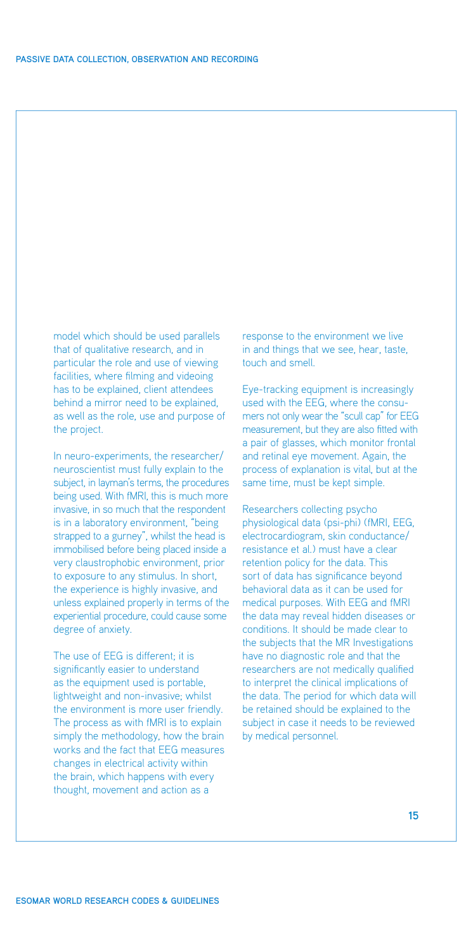model which should be used parallels that of qualitative research, and in particular the role and use of viewing facilities, where filming and videoing has to be explained, client attendees behind a mirror need to be explained, as well as the role, use and purpose of the project.

In neuro-experiments, the researcher/ neuroscientist must fully explain to the subject, in layman's terms, the procedures being used. With fMRI, this is much more invasive, in so much that the respondent is in a laboratory environment, "being strapped to a gurney", whilst the head is immobilised before being placed inside a very claustrophobic environment, prior to exposure to any stimulus. In short, the experience is highly invasive, and unless explained properly in terms of the experiential procedure, could cause some degree of anxiety.

The use of EEG is different; it is significantly easier to understand as the equipment used is portable, lightweight and non-invasive; whilst the environment is more user friendly. The process as with fMRI is to explain simply the methodology, how the brain works and the fact that EEG measures changes in electrical activity within the brain, which happens with every thought, movement and action as a

response to the environment we live in and things that we see, hear, taste, touch and smell.

Eye-tracking equipment is increasingly used with the EEG, where the consumers not only wear the "scull cap" for EEG measurement, but they are also fitted with a pair of glasses, which monitor frontal and retinal eye movement. Again, the process of explanation is vital, but at the same time, must be kept simple.

Researchers collecting psycho physiological data (psi-phi) (fMRI, EEG, electrocardiogram, skin conductance/ resistance et al.) must have a clear retention policy for the data. This sort of data has significance beyond behavioral data as it can be used for medical purposes. With EEG and fMRI the data may reveal hidden diseases or conditions. It should be made clear to the subjects that the MR Investigations have no diagnostic role and that the researchers are not medically qualified to interpret the clinical implications of the data. The period for which data will be retained should be explained to the subject in case it needs to be reviewed by medical personnel.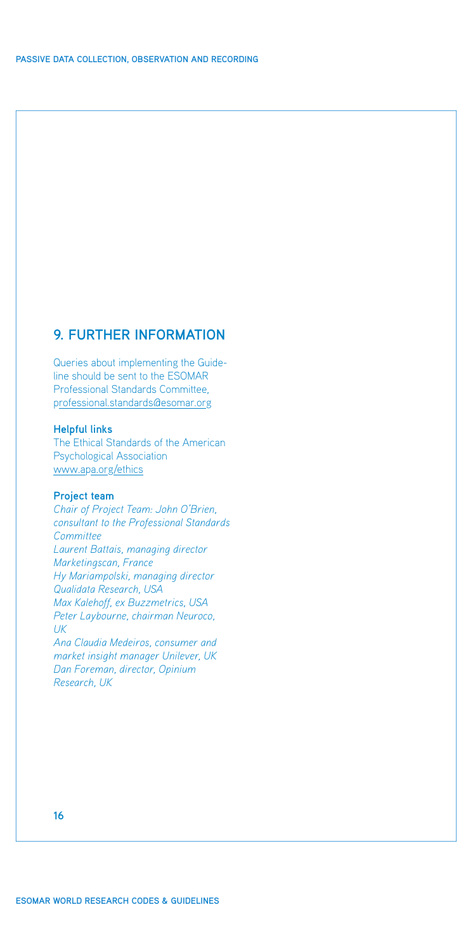## <span id="page-17-0"></span>**9. Further information**

Queries about implementing the Guideline should be sent to the ESOMAR Professional Standards Committee, professional.standards@esomar.org

## **Helpful links**

The Ethical Standards of the American Psychological Association www.apa.org/ethics

### **Project team**

*Chair of Project Team: John O'Brien, consultant to the Professional Standards Committee Laurent Battais, managing director Marketingscan, France Hy Mariampolski, managing director Qualidata Research, USA Max Kalehoff, ex Buzzmetrics, USA Peter Laybourne, chairman Neuroco, UK*

*Ana Claudia Medeiros, consumer and market insight manager Unilever, UK Dan Foreman, director, Opinium Research, UK*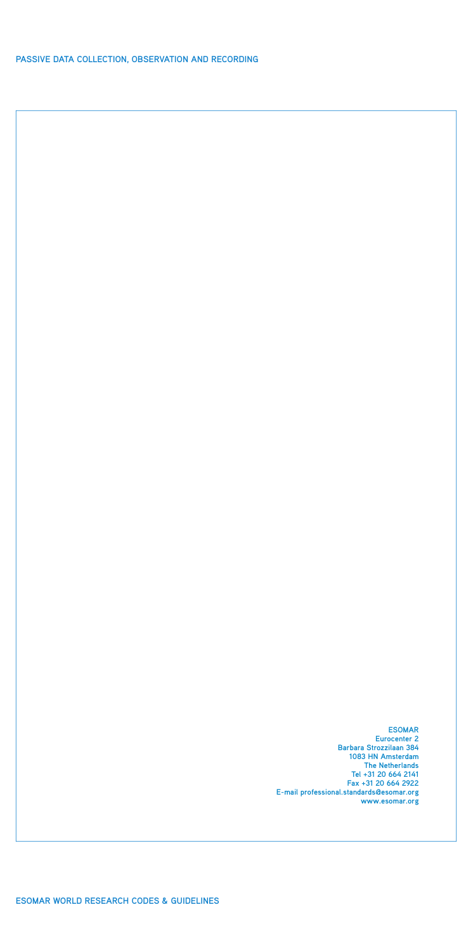**Passive Data Collection, Observation and Recording**

**ESOMA Eurocenter 2 Barbara Strozzilaan 384 1083 HN Amsterdam The Netherlands Tel +31 20 664 2141 Fax +31 20 664 2922 E-mail professional.standards@esomar.org www.esomar.org**